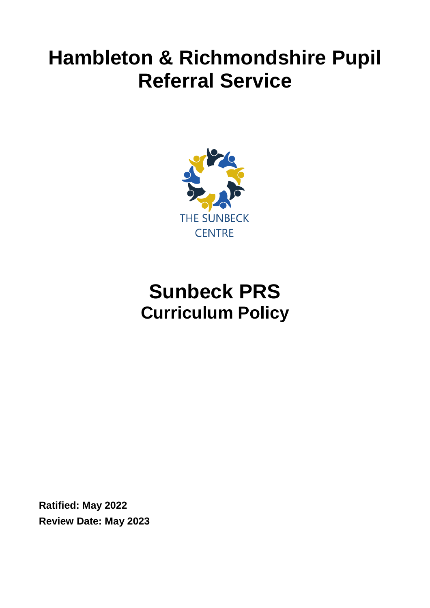# **Hambleton & Richmondshire Pupil Referral Service**



## **Sunbeck PRS Curriculum Policy**

**Ratified: May 2022 Review Date: May 2023**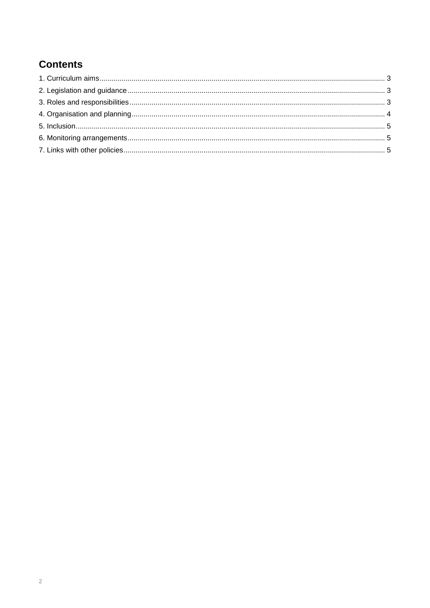## **Contents**

<span id="page-1-0"></span>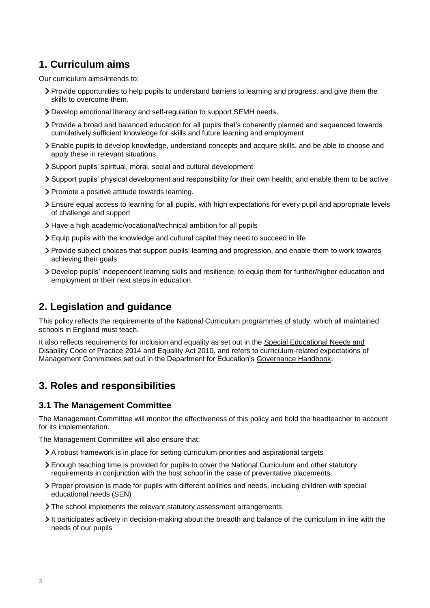## **1. Curriculum aims**

Our curriculum aims/intends to:

- Provide opportunities to help pupils to understand barriers to learning and progress, and give them the skills to overcome them.
- Develop emotional literacy and self-regulation to support SEMH needs.
- Provide a broad and balanced education for all pupils that's coherently planned and sequenced towards cumulatively sufficient knowledge for skills and future learning and employment
- Enable pupils to develop knowledge, understand concepts and acquire skills, and be able to choose and apply these in relevant situations
- Support pupils' spiritual, moral, social and cultural development
- Support pupils' physical development and responsibility for their own health, and enable them to be active
- Promote a positive attitude towards learning.
- Ensure equal access to learning for all pupils, with high expectations for every pupil and appropriate levels of challenge and support
- Have a high academic/vocational/technical ambition for all pupils
- Equip pupils with the knowledge and cultural capital they need to succeed in life
- Provide subject choices that support pupils' learning and progression, and enable them to work towards achieving their goals
- Develop pupils' independent learning skills and resilience, to equip them for further/higher education and employment or their next steps in education.

## <span id="page-2-0"></span>**2. Legislation and guidance**

This policy reflects the requirements of the [National Curriculum programmes of study,](https://www.gov.uk/government/collections/national-curriculum) which all maintained schools in England must teach.

It also reflects requirements for inclusion and equality as set out in the [Special Educational Needs and](https://www.gov.uk/government/publications/send-code-of-practice-0-to-25)  [Disability Code of Practice 2014](https://www.gov.uk/government/publications/send-code-of-practice-0-to-25) and [Equality Act 2010,](http://www.legislation.gov.uk/ukpga/2010/15/part/6/chapter/1) and refers to curriculum-related expectations of Management Committees set out in the Department for Education's [Governance Handbook.](https://www.gov.uk/government/publications/governance-handbook)

## <span id="page-2-1"></span>**3. Roles and responsibilities**

#### **3.1 The Management Committee**

The Management Committee will monitor the effectiveness of this policy and hold the headteacher to account for its implementation.

The Management Committee will also ensure that:

- A robust framework is in place for setting curriculum priorities and aspirational targets
- Enough teaching time is provided for pupils to cover the National Curriculum and other statutory requirements in conjunction with the host school in the case of preventative placements
- Proper provision is made for pupils with different abilities and needs, including children with special educational needs (SEN)
- > The school implements the relevant statutory assessment arrangements
- It participates actively in decision-making about the breadth and balance of the curriculum in line with the needs of our pupils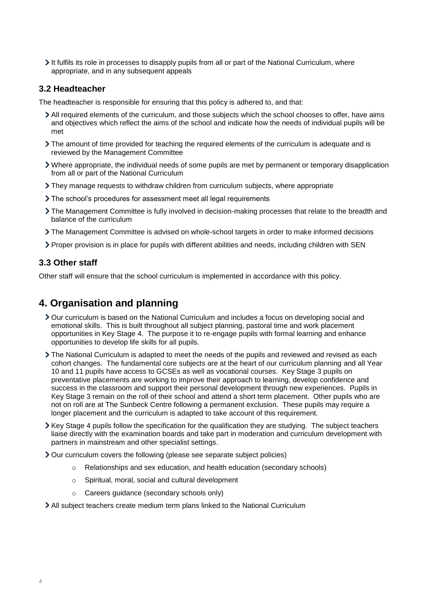It fulfils its role in processes to disapply pupils from all or part of the National Curriculum, where appropriate, and in any subsequent appeals

#### **3.2 Headteacher**

The headteacher is responsible for ensuring that this policy is adhered to, and that:

- All required elements of the curriculum, and those subjects which the school chooses to offer, have aims and objectives which reflect the aims of the school and indicate how the needs of individual pupils will be met
- The amount of time provided for teaching the required elements of the curriculum is adequate and is reviewed by the Management Committee
- Where appropriate, the individual needs of some pupils are met by permanent or temporary disapplication from all or part of the National Curriculum
- They manage requests to withdraw children from curriculum subjects, where appropriate
- The school's procedures for assessment meet all legal requirements
- The Management Committee is fully involved in decision-making processes that relate to the breadth and balance of the curriculum
- The Management Committee is advised on whole-school targets in order to make informed decisions
- Proper provision is in place for pupils with different abilities and needs, including children with SEN

#### **3.3 Other staff**

Other staff will ensure that the school curriculum is implemented in accordance with this policy.

## <span id="page-3-0"></span>**4. Organisation and planning**

- Our curriculum is based on the National Curriculum and includes a focus on developing social and emotional skills. This is built throughout all subject planning, pastoral time and work placement opportunities in Key Stage 4. The purpose it to re-engage pupils with formal learning and enhance opportunities to develop life skills for all pupils.
- If The National Curriculum is adapted to meet the needs of the pupils and reviewed and revised as each cohort changes. The fundamental core subjects are at the heart of our curriculum planning and all Year 10 and 11 pupils have access to GCSEs as well as vocational courses. Key Stage 3 pupils on preventative placements are working to improve their approach to learning, develop confidence and success in the classroom and support their personal development through new experiences. Pupils in Key Stage 3 remain on the roll of their school and attend a short term placement. Other pupils who are not on roll are at The Sunbeck Centre following a permanent exclusion. These pupils may require a longer placement and the curriculum is adapted to take account of this requirement.
- $\blacktriangleright$  Key Stage 4 pupils follow the specification for the qualification they are studying. The subject teachers liaise directly with the examination boards and take part in moderation and curriculum development with partners in mainstream and other specialist settings.
- Our curriculum covers the following (please see separate subject policies)
	- o Relationships and sex education, and health education (secondary schools)
	- o Spiritual, moral, social and cultural development
	- o Careers guidance (secondary schools only)
- All subject teachers create medium term plans linked to the National Curriculum